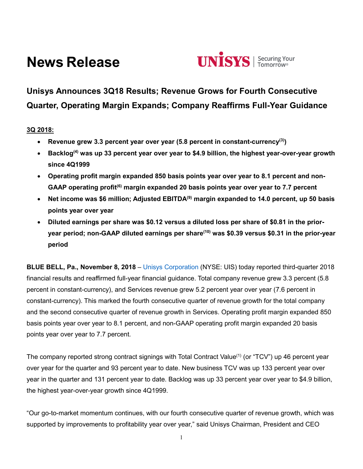# **News Release**



# **Unisys Announces 3Q18 Results; Revenue Grows for Fourth Consecutive Quarter, Operating Margin Expands; Company Reaffirms Full-Year Guidance**

# **3Q 2018:**

- **Revenue grew 3.3 percent year over year (5.8 percent in constant-currency(3))**
- **Backlog(4) was up 33 percent year over year to \$4.9 billion, the highest year-over-year growth since 4Q1999**
- **Operating profit margin expanded 850 basis points year over year to 8.1 percent and non-GAAP operating profit(6) margin expanded 20 basis points year over year to 7.7 percent**
- **Net income was \$6 million; Adjusted EBITDA(9) margin expanded to 14.0 percent, up 50 basis points year over year**
- **Diluted earnings per share was \$0.12 versus a diluted loss per share of \$0.81 in the prioryear period; non-GAAP diluted earnings per share(10) was \$0.39 versus \$0.31 in the prior-year period**

**BLUE BELL, Pa., November 8, 2018** – [Unisys Corporation](http://www.unisys.com/) (NYSE: UIS) today reported third-quarter 2018 financial results and reaffirmed full-year financial guidance. Total company revenue grew 3.3 percent (5.8 percent in constant-currency), and Services revenue grew 5.2 percent year over year (7.6 percent in constant-currency). This marked the fourth consecutive quarter of revenue growth for the total company and the second consecutive quarter of revenue growth in Services. Operating profit margin expanded 850 basis points year over year to 8.1 percent, and non-GAAP operating profit margin expanded 20 basis points year over year to 7.7 percent.

The company reported strong contract signings with Total Contract Value<sup>(1)</sup> (or "TCV") up 46 percent year over year for the quarter and 93 percent year to date. New business TCV was up 133 percent year over year in the quarter and 131 percent year to date. Backlog was up 33 percent year over year to \$4.9 billion, the highest year-over-year growth since 4Q1999.

"Our go-to-market momentum continues, with our fourth consecutive quarter of revenue growth, which was supported by improvements to profitability year over year," said Unisys Chairman, President and CEO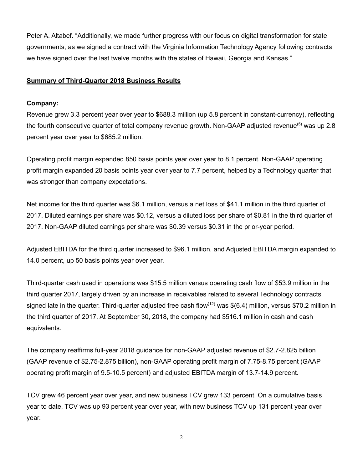Peter A. Altabef. "Additionally, we made further progress with our focus on digital transformation for state governments, as we signed a contract with the Virginia Information Technology Agency following contracts we have signed over the last twelve months with the states of Hawaii, Georgia and Kansas."

# **Summary of Third-Quarter 2018 Business Results**

# **Company:**

Revenue grew 3.3 percent year over year to \$688.3 million (up 5.8 percent in constant-currency), reflecting the fourth consecutive quarter of total company revenue growth. Non-GAAP adjusted revenue<sup>(5)</sup> was up 2.8 percent year over year to \$685.2 million.

Operating profit margin expanded 850 basis points year over year to 8.1 percent. Non-GAAP operating profit margin expanded 20 basis points year over year to 7.7 percent, helped by a Technology quarter that was stronger than company expectations.

Net income for the third quarter was \$6.1 million, versus a net loss of \$41.1 million in the third quarter of 2017. Diluted earnings per share was \$0.12, versus a diluted loss per share of \$0.81 in the third quarter of 2017. Non-GAAP diluted earnings per share was \$0.39 versus \$0.31 in the prior-year period.

Adjusted EBITDA for the third quarter increased to \$96.1 million, and Adjusted EBITDA margin expanded to 14.0 percent, up 50 basis points year over year.

Third-quarter cash used in operations was \$15.5 million versus operating cash flow of \$53.9 million in the third quarter 2017, largely driven by an increase in receivables related to several Technology contracts signed late in the quarter. Third-quarter adjusted free cash flow<sup>(12)</sup> was \$(6.4) million, versus \$70.2 million in the third quarter of 2017. At September 30, 2018, the company had \$516.1 million in cash and cash equivalents.

The company reaffirms full-year 2018 guidance for non-GAAP adjusted revenue of \$2.7-2.825 billion (GAAP revenue of \$2.75-2.875 billion), non-GAAP operating profit margin of 7.75-8.75 percent (GAAP operating profit margin of 9.5-10.5 percent) and adjusted EBITDA margin of 13.7-14.9 percent.

TCV grew 46 percent year over year, and new business TCV grew 133 percent. On a cumulative basis year to date, TCV was up 93 percent year over year, with new business TCV up 131 percent year over year.

2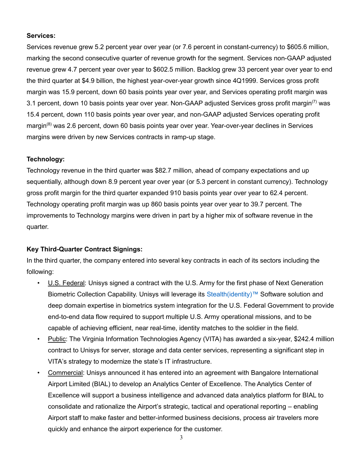# **Services:**

Services revenue grew 5.2 percent year over year (or 7.6 percent in constant-currency) to \$605.6 million, marking the second consecutive quarter of revenue growth for the segment. Services non-GAAP adjusted revenue grew 4.7 percent year over year to \$602.5 million. Backlog grew 33 percent year over year to end the third quarter at \$4.9 billion, the highest year-over-year growth since 4Q1999. Services gross profit margin was 15.9 percent, down 60 basis points year over year, and Services operating profit margin was 3.1 percent, down 10 basis points year over year. Non-GAAP adjusted Services gross profit margin<sup>(7)</sup> was 15.4 percent, down 110 basis points year over year, and non-GAAP adjusted Services operating profit margin<sup>(8)</sup> was 2.6 percent, down 60 basis points year over year. Year-over-year declines in Services margins were driven by new Services contracts in ramp-up stage.

# **Technology:**

Technology revenue in the third quarter was \$82.7 million, ahead of company expectations and up sequentially, although down 8.9 percent year over year (or 5.3 percent in constant currency). Technology gross profit margin for the third quarter expanded 910 basis points year over year to 62.4 percent. Technology operating profit margin was up 860 basis points year over year to 39.7 percent. The improvements to Technology margins were driven in part by a higher mix of software revenue in the quarter.

# **Key Third-Quarter Contract Signings:**

In the third quarter, the company entered into several key contracts in each of its sectors including the following:

- U.S. Federal: Unisys signed a contract with the U.S. Army for the first phase of Next Generation Biometric Collection Capability. Unisys will leverage its [Stealth\(identity\)™](https://www.unisys.com/offerings/security-solutions/unisys-stealth-products-and-services/stealth(identity)) Software solution and deep domain expertise in biometrics system integration for the U.S. Federal Government to provide end-to-end data flow required to support multiple U.S. Army operational missions, and to be capable of achieving efficient, near real-time, identity matches to the soldier in the field.
- Public: The Virginia Information Technologies Agency (VITA) has awarded a six-year, \$242.4 million contract to Unisys for server, storage and data center services, representing a significant step in VITA's strategy to modernize the state's IT infrastructure.
- Commercial: Unisys announced it has entered into an agreement with Bangalore International Airport Limited (BIAL) to develop an Analytics Center of Excellence. The Analytics Center of Excellence will support a business intelligence and advanced data analytics platform for BIAL to consolidate and rationalize the Airport's strategic, tactical and operational reporting – enabling Airport staff to make faster and better-informed business decisions, process air travelers more quickly and enhance the airport experience for the customer.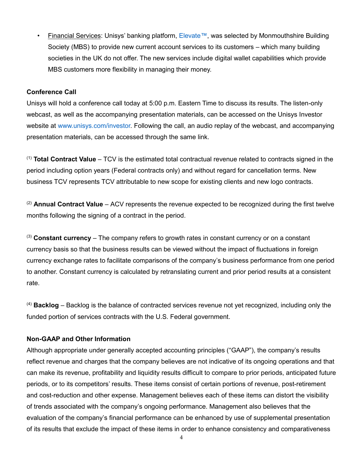• Financial Services: Unisys' banking platform, [Elevate™,](https://www.unisys.com/elevate) was selected by Monmouthshire Building Society (MBS) to provide new current account services to its customers – which many building societies in the UK do not offer. The new services include digital wallet capabilities which provide MBS customers more flexibility in managing their money.

# **Conference Call**

Unisys will hold a conference call today at 5:00 p.m. Eastern Time to discuss its results. The listen-only webcast, as well as the accompanying presentation materials, can be accessed on the Unisys Investor website at [www.unisys.com/investor.](http://www.unisys.com/investor) Following the call, an audio replay of the webcast, and accompanying presentation materials, can be accessed through the same link.

(1) **Total Contract Value** – TCV is the estimated total contractual revenue related to contracts signed in the period including option years (Federal contracts only) and without regard for cancellation terms. New business TCV represents TCV attributable to new scope for existing clients and new logo contracts.

(2) **Annual Contract Value** – ACV represents the revenue expected to be recognized during the first twelve months following the signing of a contract in the period.

(3) **Constant currency** – The company refers to growth rates in constant currency or on a constant currency basis so that the business results can be viewed without the impact of fluctuations in foreign currency exchange rates to facilitate comparisons of the company's business performance from one period to another. Constant currency is calculated by retranslating current and prior period results at a consistent rate.

(4) **Backlog** – Backlog is the balance of contracted services revenue not yet recognized, including only the funded portion of services contracts with the U.S. Federal government.

# **Non-GAAP and Other Information**

Although appropriate under generally accepted accounting principles ("GAAP"), the company's results reflect revenue and charges that the company believes are not indicative of its ongoing operations and that can make its revenue, profitability and liquidity results difficult to compare to prior periods, anticipated future periods, or to its competitors' results. These items consist of certain portions of revenue, post-retirement and cost-reduction and other expense. Management believes each of these items can distort the visibility of trends associated with the company's ongoing performance. Management also believes that the evaluation of the company's financial performance can be enhanced by use of supplemental presentation of its results that exclude the impact of these items in order to enhance consistency and comparativeness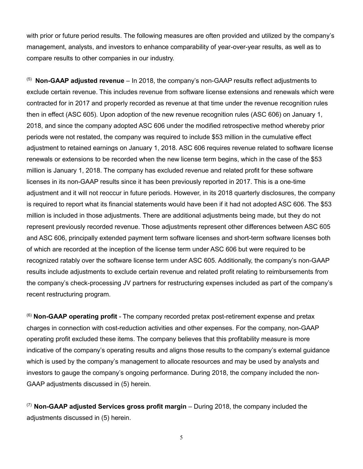with prior or future period results. The following measures are often provided and utilized by the company's management, analysts, and investors to enhance comparability of year-over-year results, as well as to compare results to other companies in our industry.

(5) **Non-GAAP adjusted revenue** – In 2018, the company's non-GAAP results reflect adjustments to exclude certain revenue. This includes revenue from software license extensions and renewals which were contracted for in 2017 and properly recorded as revenue at that time under the revenue recognition rules then in effect (ASC 605). Upon adoption of the new revenue recognition rules (ASC 606) on January 1, 2018, and since the company adopted ASC 606 under the modified retrospective method whereby prior periods were not restated, the company was required to include \$53 million in the cumulative effect adjustment to retained earnings on January 1, 2018. ASC 606 requires revenue related to software license renewals or extensions to be recorded when the new license term begins, which in the case of the \$53 million is January 1, 2018. The company has excluded revenue and related profit for these software licenses in its non-GAAP results since it has been previously reported in 2017. This is a one-time adjustment and it will not reoccur in future periods. However, in its 2018 quarterly disclosures, the company is required to report what its financial statements would have been if it had not adopted ASC 606. The \$53 million is included in those adjustments. There are additional adjustments being made, but they do not represent previously recorded revenue. Those adjustments represent other differences between ASC 605 and ASC 606, principally extended payment term software licenses and short-term software licenses both of which are recorded at the inception of the license term under ASC 606 but were required to be recognized ratably over the software license term under ASC 605. Additionally, the company's non-GAAP results include adjustments to exclude certain revenue and related profit relating to reimbursements from the company's check-processing JV partners for restructuring expenses included as part of the company's recent restructuring program.

(6) **Non-GAAP operating profit** - The company recorded pretax post-retirement expense and pretax charges in connection with cost-reduction activities and other expenses. For the company, non-GAAP operating profit excluded these items. The company believes that this profitability measure is more indicative of the company's operating results and aligns those results to the company's external guidance which is used by the company's management to allocate resources and may be used by analysts and investors to gauge the company's ongoing performance. During 2018, the company included the non-GAAP adjustments discussed in (5) herein.

(7) **Non-GAAP adjusted Services gross profit margin** – During 2018, the company included the adjustments discussed in (5) herein.

5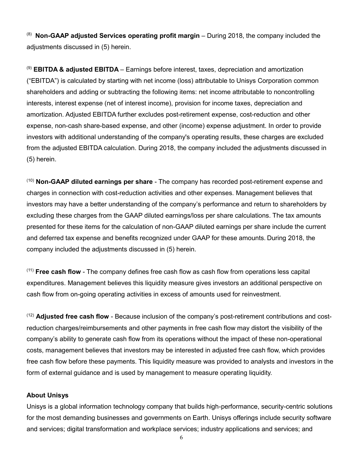(8) **Non-GAAP adjusted Services operating profit margin** – During 2018, the company included the adjustments discussed in (5) herein.

(9) **EBITDA & adjusted EBITDA** – Earnings before interest, taxes, depreciation and amortization ("EBITDA") is calculated by starting with net income (loss) attributable to Unisys Corporation common shareholders and adding or subtracting the following items: net income attributable to noncontrolling interests, interest expense (net of interest income), provision for income taxes, depreciation and amortization. Adjusted EBITDA further excludes post-retirement expense, cost-reduction and other expense, non-cash share-based expense, and other (income) expense adjustment. In order to provide investors with additional understanding of the company's operating results, these charges are excluded from the adjusted EBITDA calculation. During 2018, the company included the adjustments discussed in (5) herein.

(10) **Non-GAAP diluted earnings per share** - The company has recorded post-retirement expense and charges in connection with cost-reduction activities and other expenses. Management believes that investors may have a better understanding of the company's performance and return to shareholders by excluding these charges from the GAAP diluted earnings/loss per share calculations. The tax amounts presented for these items for the calculation of non-GAAP diluted earnings per share include the current and deferred tax expense and benefits recognized under GAAP for these amounts. During 2018, the company included the adjustments discussed in (5) herein.

(11) **Free cash flow** - The company defines free cash flow as cash flow from operations less capital expenditures. Management believes this liquidity measure gives investors an additional perspective on cash flow from on-going operating activities in excess of amounts used for reinvestment.

(12) **Adjusted free cash flow** - Because inclusion of the company's post-retirement contributions and costreduction charges/reimbursements and other payments in free cash flow may distort the visibility of the company's ability to generate cash flow from its operations without the impact of these non-operational costs, management believes that investors may be interested in adjusted free cash flow, which provides free cash flow before these payments. This liquidity measure was provided to analysts and investors in the form of external guidance and is used by management to measure operating liquidity.

#### **About Unisys**

Unisys is a global information technology company that builds high-performance, security-centric solutions for the most demanding businesses and governments on Earth. Unisys offerings include security software and services; digital transformation and workplace services; industry applications and services; and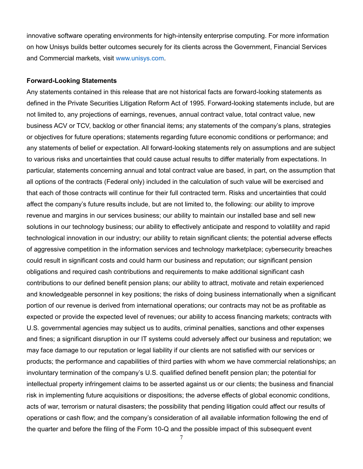innovative software operating environments for high-intensity enterprise computing. For more information on how Unisys builds better outcomes securely for its clients across the Government, Financial Services and Commercial markets, visit [www.unisys.com.](http://www.unisys.com/)

#### **Forward-Looking Statements**

Any statements contained in this release that are not historical facts are forward-looking statements as defined in the Private Securities Litigation Reform Act of 1995. Forward-looking statements include, but are not limited to, any projections of earnings, revenues, annual contract value, total contract value, new business ACV or TCV, backlog or other financial items; any statements of the company's plans, strategies or objectives for future operations; statements regarding future economic conditions or performance; and any statements of belief or expectation. All forward-looking statements rely on assumptions and are subject to various risks and uncertainties that could cause actual results to differ materially from expectations. In particular, statements concerning annual and total contract value are based, in part, on the assumption that all options of the contracts (Federal only) included in the calculation of such value will be exercised and that each of those contracts will continue for their full contracted term. Risks and uncertainties that could affect the company's future results include, but are not limited to, the following: our ability to improve revenue and margins in our services business; our ability to maintain our installed base and sell new solutions in our technology business; our ability to effectively anticipate and respond to volatility and rapid technological innovation in our industry; our ability to retain significant clients; the potential adverse effects of aggressive competition in the information services and technology marketplace; cybersecurity breaches could result in significant costs and could harm our business and reputation; our significant pension obligations and required cash contributions and requirements to make additional significant cash contributions to our defined benefit pension plans; our ability to attract, motivate and retain experienced and knowledgeable personnel in key positions; the risks of doing business internationally when a significant portion of our revenue is derived from international operations; our contracts may not be as profitable as expected or provide the expected level of revenues; our ability to access financing markets; contracts with U.S. governmental agencies may subject us to audits, criminal penalties, sanctions and other expenses and fines; a significant disruption in our IT systems could adversely affect our business and reputation; we may face damage to our reputation or legal liability if our clients are not satisfied with our services or products; the performance and capabilities of third parties with whom we have commercial relationships; an involuntary termination of the company's U.S. qualified defined benefit pension plan; the potential for intellectual property infringement claims to be asserted against us or our clients; the business and financial risk in implementing future acquisitions or dispositions; the adverse effects of global economic conditions, acts of war, terrorism or natural disasters; the possibility that pending litigation could affect our results of operations or cash flow; and the company's consideration of all available information following the end of the quarter and before the filing of the Form 10-Q and the possible impact of this subsequent event

7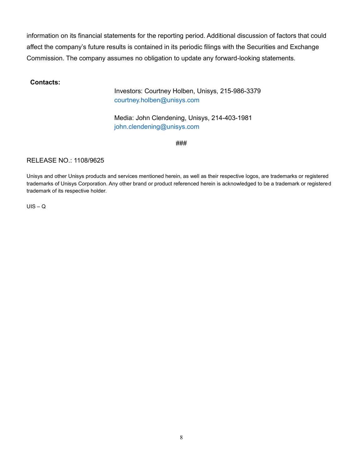information on its financial statements for the reporting period. Additional discussion of factors that could affect the company's future results is contained in its periodic filings with the Securities and Exchange Commission. The company assumes no obligation to update any forward-looking statements.

# **Contacts:**

Investors: Courtney Holben, Unisys, 215-986-3379 [courtney.holben@unisys.com](mailto:courtney.holben@unisys.com)

Media: John Clendening, Unisys, 214-403-1981 [john.clendening@unisys.com](mailto:john.clendening@unisys.com)

###

# RELEASE NO.: 1108/9625

Unisys and other Unisys products and services mentioned herein, as well as their respective logos, are trademarks or registered trademarks of Unisys Corporation. Any other brand or product referenced herein is acknowledged to be a trademark or registered trademark of its respective holder.

 $UIS - Q$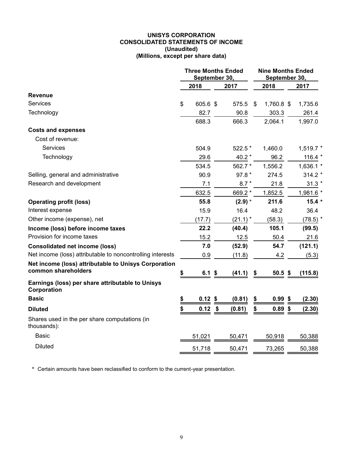#### **UNISYS CORPORATION CONSOLIDATED STATEMENTS OF INCOME (Unaudited) (Millions, except per share data)**

|                                                                 | <b>Three Months Ended</b><br>September 30, |           |                           |            |    | <b>Nine Months Ended</b><br>September 30, |  |              |
|-----------------------------------------------------------------|--------------------------------------------|-----------|---------------------------|------------|----|-------------------------------------------|--|--------------|
|                                                                 |                                            | 2018      |                           | 2017       |    | 2018                                      |  | 2017         |
| <b>Revenue</b>                                                  |                                            |           |                           |            |    |                                           |  |              |
| Services                                                        | \$                                         | 605.6 \$  |                           | 575.5      | S  | 1,760.8 \$                                |  | 1,735.6      |
| Technology                                                      |                                            | 82.7      |                           | 90.8       |    | 303.3                                     |  | 261.4        |
|                                                                 |                                            | 688.3     |                           | 666.3      |    | 2,064.1                                   |  | 1,997.0      |
| <b>Costs and expenses</b>                                       |                                            |           |                           |            |    |                                           |  |              |
| Cost of revenue:                                                |                                            |           |                           |            |    |                                           |  |              |
| <b>Services</b>                                                 |                                            | 504.9     |                           | 522.5 *    |    | 1,460.0                                   |  | $1,519.7$ *  |
| Technology                                                      |                                            | 29.6      |                           | 40.2 $*$   |    | 96.2                                      |  | 116.4 $*$    |
|                                                                 |                                            | 534.5     |                           | 562.7 *    |    | 1,556.2                                   |  | 1,636.1 *    |
| Selling, general and administrative                             |                                            | 90.9      |                           | 97.8 *     |    | 274.5                                     |  | $314.2*$     |
| Research and development                                        |                                            | 7.1       |                           | $8.7*$     |    | 21.8                                      |  | $31.3*$      |
|                                                                 |                                            | 632.5     |                           | 669.2 *    |    | 1,852.5                                   |  | 1,981.6 *    |
| <b>Operating profit (loss)</b>                                  |                                            | 55.8      |                           | $(2.9)$ *  |    | 211.6                                     |  | $15.4*$      |
| Interest expense                                                |                                            | 15.9      |                           | 16.4       |    | 48.2                                      |  | 36.4         |
| Other income (expense), net                                     |                                            | (17.7)    |                           | $(21.1)^*$ |    | (58.3)                                    |  | $(78.5)$ $*$ |
| Income (loss) before income taxes                               |                                            | 22.2      |                           | (40.4)     |    | 105.1                                     |  | (99.5)       |
| Provision for income taxes                                      |                                            | 15.2      |                           | 12.5       |    | 50.4                                      |  | 21.6         |
| <b>Consolidated net income (loss)</b>                           |                                            | 7.0       |                           | (52.9)     |    | 54.7                                      |  | (121.1)      |
| Net income (loss) attributable to noncontrolling interests      |                                            | 0.9       |                           | (11.8)     |    | 4.2                                       |  | (5.3)        |
| Net income (loss) attributable to Unisys Corporation            |                                            |           |                           |            |    |                                           |  |              |
| common shareholders                                             | \$                                         | $6.1$ \$  |                           | (41.1)     | \$ | 50.5~\$                                   |  | (115.8)      |
| Earnings (loss) per share attributable to Unisys<br>Corporation |                                            |           |                           |            |    |                                           |  |              |
| <b>Basic</b>                                                    |                                            | $0.12$ \$ |                           | (0.81)     | \$ | $0.99$ \$                                 |  | (2.30)       |
| <b>Diluted</b>                                                  | \$                                         | 0.12      | $\boldsymbol{\hat{\ast}}$ | (0.81)     | \$ | $0.89$ \$                                 |  | (2.30)       |
| Shares used in the per share computations (in<br>thousands):    |                                            |           |                           |            |    |                                           |  |              |
| <b>Basic</b>                                                    |                                            | 51,021    |                           | 50,471     |    | 50,918                                    |  | 50,388       |
| <b>Diluted</b>                                                  |                                            | 51,718    |                           | 50,471     |    | 73,265                                    |  | 50,388       |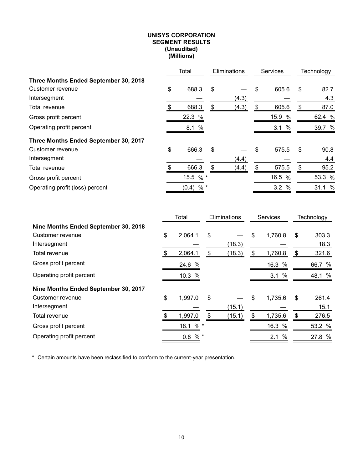#### **UNISYS CORPORATION SEGMENT RESULTS (Unaudited) (Millions)**

|                                       |    | Total          | Eliminations |       | <b>Services</b> |     | Technology |
|---------------------------------------|----|----------------|--------------|-------|-----------------|-----|------------|
| Three Months Ended September 30, 2018 |    |                |              |       |                 |     |            |
| Customer revenue                      | \$ | 688.3          | \$           |       | \$<br>605.6     | \$  | 82.7       |
| Intersegment                          |    |                |              | (4.3) |                 |     | 4.3        |
| Total revenue                         | S  | 688.3          | S            | (4.3) | \$<br>605.6     | \$  | 87.0       |
| Gross profit percent                  |    | 22.3 %         |              |       | 15.9 %          |     | 62.4 %     |
| Operating profit percent              |    | 8.1%           |              |       | 3.1%            |     | 39.7 %     |
| Three Months Ended September 30, 2017 |    |                |              |       |                 |     |            |
| Customer revenue                      | \$ | 666.3          | \$           |       | \$<br>575.5     | -\$ | 90.8       |
| Intersegment                          |    |                |              | (4.4) |                 |     | 4.4        |
| Total revenue                         | \$ | 666.3          | \$           | (4.4) | \$<br>575.5     | \$  | 95.2       |
| Gross profit percent                  |    | 15.5 % *       |              |       | 16.5 %          |     | 53.3 %     |
| Operating profit (loss) percent       |    | $% *$<br>(0.4) |              |       | 3.2%            |     | 31.1 %     |

|                                      | Total         | Eliminations |        | Services |             | Technology  |
|--------------------------------------|---------------|--------------|--------|----------|-------------|-------------|
| Nine Months Ended September 30, 2018 |               |              |        |          |             |             |
| Customer revenue                     | \$<br>2,064.1 | \$           |        | \$       | 1,760.8     | \$<br>303.3 |
| Intersegment                         |               |              | (18.3) |          |             | 18.3        |
| Total revenue                        | 2,064.1       | \$           | (18.3) | S        | 1,760.8     | \$<br>321.6 |
| Gross profit percent                 | 24.6 %        |              |        |          | 16.3 %      | 66.7 %      |
| Operating profit percent             | 10.3 %        |              |        |          | $\%$<br>3.1 | 48.1 %      |
| Nine Months Ended September 30, 2017 |               |              |        |          |             |             |
| Customer revenue                     | \$<br>1,997.0 | \$           |        | \$       | 1,735.6     | \$<br>261.4 |
| Intersegment                         |               |              | (15.1) |          |             | 15.1        |
| Total revenue                        | 1,997.0       | \$           | (15.1) | S        | 1,735.6     | \$<br>276.5 |
| Gross profit percent                 | 18.1 % *      |              |        |          | 16.3 %      | 53.2 %      |
| Operating profit percent             | $% *$<br>0.8  |              |        |          | $\%$<br>2.1 | 27.8 %      |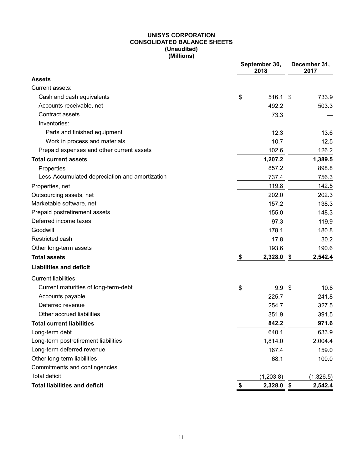#### **UNISYS CORPORATION CONSOLIDATED BALANCE SHEETS (Unaudited) (Millions)**

|                                                | September 30,<br>2018 |                  |  | December 31,<br>2017 |
|------------------------------------------------|-----------------------|------------------|--|----------------------|
| <b>Assets</b>                                  |                       |                  |  |                      |
| Current assets:                                |                       |                  |  |                      |
| Cash and cash equivalents                      | \$                    | 516.1 \$         |  | 733.9                |
| Accounts receivable, net                       |                       | 492.2            |  | 503.3                |
| Contract assets                                |                       | 73.3             |  |                      |
| Inventories:                                   |                       |                  |  |                      |
| Parts and finished equipment                   |                       | 12.3             |  | 13.6                 |
| Work in process and materials                  |                       | 10.7             |  | 12.5                 |
| Prepaid expenses and other current assets      |                       | 102.6            |  | 126.2                |
| <b>Total current assets</b>                    |                       | 1,207.2          |  | 1,389.5              |
| Properties                                     |                       | 857.2            |  | 898.8                |
| Less-Accumulated depreciation and amortization |                       | 737.4            |  | 756.3                |
| Properties, net                                |                       | 119.8            |  | 142.5                |
| Outsourcing assets, net                        |                       | 202.0            |  | 202.3                |
| Marketable software, net                       |                       | 157.2            |  | 138.3                |
| Prepaid postretirement assets                  |                       | 155.0            |  | 148.3                |
| Deferred income taxes                          |                       | 97.3             |  | 119.9                |
| Goodwill                                       |                       | 178.1            |  | 180.8                |
| Restricted cash                                |                       | 17.8             |  | 30.2                 |
| Other long-term assets                         |                       | 193.6            |  | 190.6                |
| <b>Total assets</b>                            | \$                    | 2,328.0 \$       |  | 2,542.4              |
| <b>Liabilities and deficit</b>                 |                       |                  |  |                      |
| <b>Current liabilities:</b>                    |                       |                  |  |                      |
| Current maturities of long-term-debt           | \$                    | 9.9 <sup>5</sup> |  | 10.8                 |
| Accounts payable                               |                       | 225.7            |  | 241.8                |
| Deferred revenue                               |                       | 254.7            |  | 327.5                |
| Other accrued liabilities                      |                       | 351.9            |  | 391.5                |
| <b>Total current liabilities</b>               |                       | 842.2            |  | 971.6                |
| Long-term debt                                 |                       | 640.1            |  | 633.9                |
| Long-term postretirement liabilities           |                       | 1,814.0          |  | 2,004.4              |
| Long-term deferred revenue                     |                       | 167.4            |  | 159.0                |
| Other long-term liabilities                    |                       | 68.1             |  | 100.0                |
| Commitments and contingencies                  |                       |                  |  |                      |
| <b>Total deficit</b>                           |                       | (1, 203.8)       |  | (1,326.5)            |
| <b>Total liabilities and deficit</b>           | \$                    | 2,328.0 \$       |  | 2,542.4              |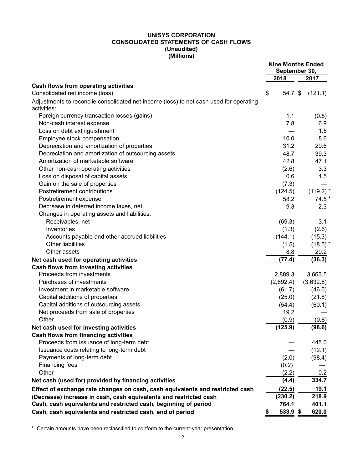#### **UNISYS CORPORATION CONSOLIDATED STATEMENTS OF CASH FLOWS (Unaudited) (Millions)**

|                                                                                                       |                | <b>Nine Months Ended</b><br>September 30, |
|-------------------------------------------------------------------------------------------------------|----------------|-------------------------------------------|
|                                                                                                       | 2018           | 2017                                      |
| Cash flows from operating activities<br>Consolidated net income (loss)                                | \$<br>54.7 \$  | (121.1)                                   |
| Adjustments to reconcile consolidated net income (loss) to net cash used for operating<br>activities: |                |                                           |
| Foreign currency transaction losses (gains)                                                           | 1.1            | (0.5)                                     |
| Non-cash interest expense                                                                             | 7.8            | 6.9                                       |
| Loss on debt extinguishment                                                                           |                | 1.5                                       |
| Employee stock compensation                                                                           | 10.0           | 8.6                                       |
| Depreciation and amortization of properties                                                           | 31.2           | 29.6                                      |
| Depreciation and amortization of outsourcing assets                                                   | 48.7           | 39.3                                      |
| Amortization of marketable software                                                                   | 42.8           | 47.1                                      |
| Other non-cash operating activities                                                                   | (2.6)          | 3.3                                       |
| Loss on disposal of capital assets                                                                    | 0.6            | 4.5                                       |
| Gain on the sale of properties                                                                        | (7.3)          |                                           |
| Postretirement contributions                                                                          | (124.5)        | $(119.2)$ *                               |
| Postretirement expense                                                                                | 58.2           | 74.5 *                                    |
| Decrease in deferred income taxes, net                                                                | 9.3            | 2.3                                       |
| Changes in operating assets and liabilities:                                                          |                |                                           |
| Receivables, net                                                                                      | (69.3)         | 3.1                                       |
| Inventories                                                                                           | (1.3)          | (2.6)                                     |
|                                                                                                       |                |                                           |
| Accounts payable and other accrued liabilities<br><b>Other liabilities</b>                            | (144.1)        | (15.3)                                    |
|                                                                                                       | (1.5)          | $(18.5)$ *                                |
| Other assets                                                                                          | 8.8            | 20.2                                      |
| Net cash used for operating activities                                                                | (77.4)         | (36.3)                                    |
| <b>Cash flows from investing activities</b>                                                           |                |                                           |
| Proceeds from investments                                                                             | 2,889.3        | 3,663.5                                   |
| Purchases of investments                                                                              | (2,892.4)      | (3,632.8)                                 |
| Investment in marketable software                                                                     | (61.7)         | (46.6)                                    |
| Capital additions of properties                                                                       | (25.0)         | (21.8)                                    |
| Capital additions of outsourcing assets                                                               | (54.4)         | (60.1)                                    |
| Net proceeds from sale of properties                                                                  | 19.2           |                                           |
| Other                                                                                                 | (0.9)          | (0.8)                                     |
| Net cash used for investing activities                                                                | (125.9)        | (98.6)                                    |
| <b>Cash flows from financing activities</b>                                                           |                |                                           |
| Proceeds from issuance of long-term debt                                                              |                | 445.0                                     |
| Issuance costs relating to long-term debt                                                             |                | (12.1)                                    |
| Payments of long-term debt                                                                            | (2.0)          | (98.4)                                    |
| <b>Financing fees</b>                                                                                 | (0.2)          |                                           |
| Other                                                                                                 | (2.2)          | 0.2                                       |
| Net cash (used for) provided by financing activities                                                  | (4.4)          | 334.7                                     |
| Effect of exchange rate changes on cash, cash equivalents and restricted cash                         | (22.5)         | 19.1                                      |
| (Decrease) increase in cash, cash equivalents and restricted cash                                     | (230.2)        | 218.9                                     |
| Cash, cash equivalents and restricted cash, beginning of period                                       | 764.1          | 401.1                                     |
| Cash, cash equivalents and restricted cash, end of period                                             | 533.9 \$<br>\$ | 620.0                                     |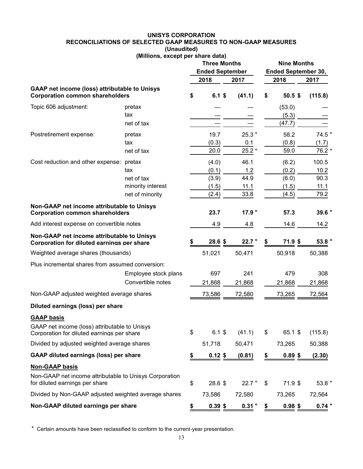#### **UNISYS CORPORATION RECONCILIATIONS OF SELECTED GAAP MEASURES TO NON-GAAP MEASURES (Unaudited)**

# **(Millions, except per share data)**

|                                                                                                |                      | <b>Three Months</b><br><b>Ended September</b> |           |  |          | <b>Nine Months</b><br><b>Ended September 30,</b> |                   |         |
|------------------------------------------------------------------------------------------------|----------------------|-----------------------------------------------|-----------|--|----------|--------------------------------------------------|-------------------|---------|
|                                                                                                |                      |                                               | 2018      |  | 2017     |                                                  | 2018              | 2017    |
| <b>GAAP net income (loss) attributable to Unisys</b><br><b>Corporation common shareholders</b> |                      | \$                                            | $6.1$ \$  |  | (41.1)   | \$                                               | 50.5 <sub>5</sub> | (115.8) |
| Topic 606 adjustment:                                                                          | pretax               |                                               |           |  |          |                                                  | (53.0)            |         |
|                                                                                                | tax                  |                                               |           |  |          |                                                  | (5.3)             |         |
|                                                                                                | net of tax           |                                               |           |  |          |                                                  | (47.7)            |         |
| Postretirement expense:                                                                        | pretax               |                                               | 19.7      |  | $25.3*$  |                                                  | 58.2              | 74.5 *  |
|                                                                                                | tax                  |                                               | (0.3)     |  | 0.1      |                                                  | (0.8)             | (1.7)   |
|                                                                                                | net of tax           |                                               | 20.0      |  | $25.2*$  |                                                  | 59.0              | 76.2 *  |
| Cost reduction and other expense:                                                              | pretax               |                                               | (4.0)     |  | 46.1     |                                                  | (6.2)             | 100.5   |
|                                                                                                | tax                  |                                               | (0.1)     |  | 1.2      |                                                  | (0.2)             | 10.2    |
|                                                                                                | net of tax           |                                               | (3.9)     |  | 44.9     |                                                  | (6.0)             | 90.3    |
|                                                                                                | minority interest    |                                               | (1.5)     |  | 11.1     |                                                  | (1.5)             | 11.1    |
|                                                                                                | net of minority      |                                               | (2.4)     |  | 33.8     |                                                  | (4.5)             | 79.2    |
| Non-GAAP net income attributable to Unisys<br><b>Corporation common shareholders</b>           |                      |                                               | 23.7      |  | $17.9*$  |                                                  | 57.3              | 39.6 *  |
| Add interest expense on convertible notes                                                      |                      |                                               | 4.9       |  | 4.8      |                                                  | 14.6              | 14.2    |
| Non-GAAP net income attributable to Unisys<br>Corporation for diluted earnings per share       |                      |                                               | 28.6 \$   |  | $22.7*$  |                                                  | 71.9 \$           | 53.8 *  |
| Weighted average shares (thousands)                                                            |                      |                                               | 51,021    |  | 50,471   |                                                  | 50,918            | 50,388  |
| Plus incremental shares from assumed conversion:                                               |                      |                                               |           |  |          |                                                  |                   |         |
|                                                                                                | Employee stock plans |                                               | 697       |  | 241      |                                                  | 479               | 308     |
|                                                                                                | Convertible notes    |                                               | 21,868    |  | 21,868   |                                                  | 21,868            | 21,868  |
| Non-GAAP adjusted weighted average shares                                                      |                      |                                               | 73,586    |  | 72,580   |                                                  | 73,265            | 72,564  |
| Diluted earnings (loss) per share                                                              |                      |                                               |           |  |          |                                                  |                   |         |
| <b>GAAP basis</b>                                                                              |                      |                                               |           |  |          |                                                  |                   |         |
| GAAP net income (loss) attributable to Unisys<br>Corporation for diluted earnings per share    |                      | \$                                            | $6.1$ \$  |  | (41.1)   | \$                                               | 65.1 \$           | (115.8) |
| Divided by adjusted weighted average shares                                                    |                      |                                               | 51,718    |  | 50,471   |                                                  | 73,265            | 50,388  |
| <b>GAAP diluted earnings (loss) per share</b>                                                  |                      | \$                                            | $0.12$ \$ |  | (0.81)   | \$                                               | $0.89$ \$         | (2.30)  |
| <b>Non-GAAP basis</b>                                                                          |                      |                                               |           |  |          |                                                  |                   |         |
| Non-GAAP net income attributable to Unisys Corporation<br>for diluted earnings per share       |                      | \$                                            | 28.6 \$   |  | $22.7*$  | \$                                               | 71.9 \$           | 53.8 *  |
| Divided by Non-GAAP adjusted weighted average shares                                           |                      |                                               | 73,586    |  | 72,580   |                                                  | 73,265            | 72,564  |
| Non-GAAP diluted earnings per share                                                            |                      | \$                                            | $0.39$ \$ |  | $0.31 *$ | \$                                               | $0.98$ \$         | $0.74*$ |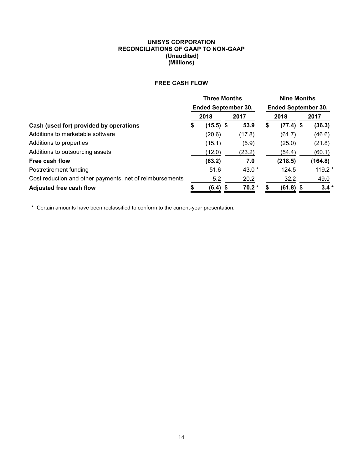#### **UNISYS CORPORATION RECONCILIATIONS OF GAAP TO NON-GAAP (Unaudited) (Millions)**

# **FREE CASH FLOW**

|                                                          | <b>Three Months</b>        |             |  | <b>Nine Months</b> |                            |             |  |         |
|----------------------------------------------------------|----------------------------|-------------|--|--------------------|----------------------------|-------------|--|---------|
|                                                          | <b>Ended September 30,</b> |             |  |                    | <b>Ended September 30,</b> |             |  |         |
|                                                          |                            | 2018        |  | 2017               |                            | 2018        |  | 2017    |
| Cash (used for) provided by operations                   | \$                         | $(15.5)$ \$ |  | 53.9               | \$                         | $(77.4)$ \$ |  | (36.3)  |
| Additions to marketable software                         |                            | (20.6)      |  | (17.8)             |                            | (61.7)      |  | (46.6)  |
| Additions to properties                                  |                            | (15.1)      |  | (5.9)              |                            | (25.0)      |  | (21.8)  |
| Additions to outsourcing assets                          |                            | (12.0)      |  | (23.2)             |                            | (54.4)      |  | (60.1)  |
| Free cash flow                                           |                            | (63.2)      |  | 7.0                |                            | (218.5)     |  | (164.8) |
| Postretirement funding                                   |                            | 51.6        |  | 43.0 *             |                            | 124.5       |  | 119.2 * |
| Cost reduction and other payments, net of reimbursements |                            | 5.2         |  | 20.2               |                            | 32.2        |  | 49.0    |
| <b>Adjusted free cash flow</b>                           |                            | $(6.4)$ \$  |  | $70.2*$            |                            | $(61.8)$ \$ |  | $3.4*$  |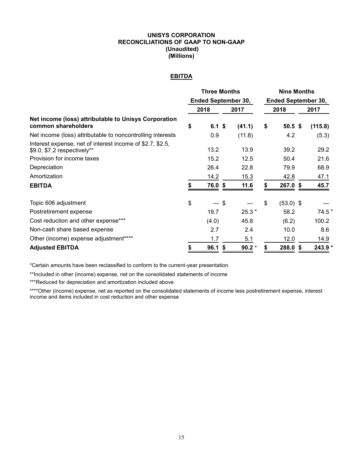#### **UNISYS CORPORATION RECONCILIATIONS OF GAAP TO NON-GAAP (Unaudited) (Millions)**

# **EBITDA**

|                                                                                          | <b>Three Months</b><br><b>Ended September 30,</b> |          |    |         | <b>Nine Months</b>         |                   |         |  |  |
|------------------------------------------------------------------------------------------|---------------------------------------------------|----------|----|---------|----------------------------|-------------------|---------|--|--|
|                                                                                          |                                                   |          |    |         | <b>Ended September 30,</b> |                   |         |  |  |
|                                                                                          |                                                   | 2018     |    | 2017    |                            | 2018              | 2017    |  |  |
| Net income (loss) attributable to Unisys Corporation<br>common shareholders              | \$                                                | $6.1$ \$ |    | (41.1)  | \$                         | 50.5 <sup>5</sup> | (115.8) |  |  |
| Net income (loss) attributable to noncontrolling interests                               |                                                   | 0.9      |    | (11.8)  |                            | 4.2               | (5.3)   |  |  |
| Interest expense, net of interest income of \$2.7, \$2.5,<br>\$9.0, \$7.2 respectively** |                                                   | 13.2     |    | 13.9    |                            | 39.2              | 29.2    |  |  |
| Provision for income taxes                                                               |                                                   | 15.2     |    | 12.5    |                            | 50.4              | 21.6    |  |  |
| Depreciation                                                                             |                                                   | 26.4     |    | 22.8    |                            | 79.9              | 68.9    |  |  |
| Amortization                                                                             |                                                   | 14.2     |    | 15.3    |                            | 42.8              | 47.1    |  |  |
| <b>EBITDA</b>                                                                            |                                                   | 76.0 \$  |    | 11.6    | S                          | 267.0 \$          | 45.7    |  |  |
| Topic 606 adjustment                                                                     | \$                                                |          | \$ |         | \$                         | $(53.0)$ \$       |         |  |  |
| Postretirement expense                                                                   |                                                   | 19.7     |    | $25.3*$ |                            | 58.2              | $74.5*$ |  |  |
| Cost reduction and other expense***                                                      |                                                   | (4.0)    |    | 45.8    |                            | (6.2)             | 100.2   |  |  |
| Non-cash share based expense                                                             |                                                   | 2.7      |    | 2.4     |                            | 10.0              | 8.6     |  |  |
| Other (income) expense adjustment****                                                    |                                                   | 1.7      |    | 5.1     |                            | 12.0              | 14.9    |  |  |
| <b>Adjusted EBITDA</b>                                                                   | \$                                                | 96.1     | S  | $90.2*$ |                            | 288.0 \$          | 243.9 * |  |  |

\*Certain amounts have been reclassified to conform to the current-year presentation.

\*\*Included in other (income) expense, net on the consolidated statements of income

\*\*\*Reduced for depreciation and amortization included above

\*\*\*\*Other (income) expense, net as reported on the consolidated statements of income less postretirement expense, interest income and items included in cost reduction and other expense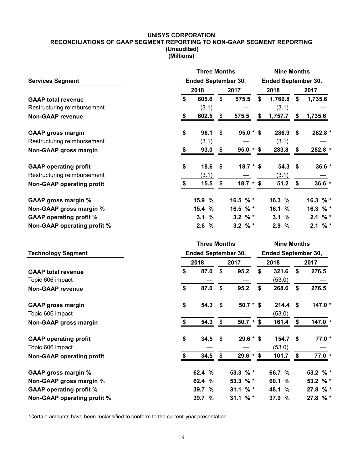#### **UNISYS CORPORATION RECONCILIATIONS OF GAAP SEGMENT REPORTING TO NON-GAAP SEGMENT REPORTING (Unaudited) (Millions)**

|                                  |                                           | <b>Three Months</b>        |               |            |              |                            | <b>Nine Months</b> |          |  |  |  |  |
|----------------------------------|-------------------------------------------|----------------------------|---------------|------------|--------------|----------------------------|--------------------|----------|--|--|--|--|
| <b>Services Segment</b>          | <b>Ended September 30,</b>                |                            |               |            |              | <b>Ended September 30,</b> |                    |          |  |  |  |  |
|                                  |                                           | 2018<br>2017               |               |            |              | 2018                       |                    | 2017     |  |  |  |  |
| <b>GAAP total revenue</b>        | \$                                        | 605.6                      | \$            | 575.5      | \$           | 1,760.8                    | \$                 | 1,735.6  |  |  |  |  |
| Restructuring reimbursement      |                                           | (3.1)                      |               |            |              | (3.1)                      |                    |          |  |  |  |  |
| <b>Non-GAAP revenue</b>          | \$                                        | 602.5                      | \$            | 575.5      | \$           | 1,757.7                    | \$                 | 1,735.6  |  |  |  |  |
| <b>GAAP gross margin</b>         | \$                                        | 96.1                       | \$            | $95.0 * $$ |              | 286.9                      | \$                 | 282.8 *  |  |  |  |  |
| Restructuring reimbursement      |                                           | (3.1)                      |               |            |              | (3.1)                      |                    |          |  |  |  |  |
| Non-GAAP gross margin            | \$                                        | 93.0                       | $\frac{\$}{}$ | $95.0 * $$ |              | 283.8                      | \$                 | 282.8 *  |  |  |  |  |
| <b>GAAP operating profit</b>     | \$                                        | 18.6                       | \$            | $18.7 * $$ |              | 54.3                       | - \$               | 36.6 *   |  |  |  |  |
| Restructuring reimbursement      |                                           | (3.1)                      |               |            |              | (3.1)                      |                    |          |  |  |  |  |
| <b>Non-GAAP operating profit</b> | \$                                        | 15.5                       | \$            | $18.7 * $$ |              | 51.2                       | \$                 | $36.6*$  |  |  |  |  |
| <b>GAAP gross margin %</b>       |                                           | %<br>15.9                  |               | 16.5 % *   |              | 16.3 %                     |                    | 16.3 % * |  |  |  |  |
| Non-GAAP gross margin %          |                                           | 15.4<br>$\frac{0}{0}$      |               | 16.5 % *   |              | 16.1 %                     |                    | 16.3 % * |  |  |  |  |
| <b>GAAP operating profit %</b>   |                                           | %<br>3.1                   |               | 3.2 $%$ *  |              | 3.1<br>%                   |                    | $2.1 \%$ |  |  |  |  |
| Non-GAAP operating profit %      |                                           | $\%$<br>2.6                |               | 3.2 $%$ *  |              | 2.9%                       |                    | $2.1 \%$ |  |  |  |  |
|                                  | <b>Three Months</b><br><b>Nine Months</b> |                            |               |            |              |                            |                    |          |  |  |  |  |
| <b>Technology Segment</b>        |                                           | <b>Ended September 30,</b> |               |            |              | <b>Ended September 30,</b> |                    |          |  |  |  |  |
|                                  |                                           | 2018                       |               | 2017       | 2018<br>2017 |                            |                    |          |  |  |  |  |
| <b>GAAP total revenue</b>        | \$                                        | 87.0                       | \$            | 95.2       | \$           | 321.6                      | \$                 | 276.5    |  |  |  |  |
| Topic 606 impact                 |                                           |                            |               |            |              | (53.0)                     |                    |          |  |  |  |  |
| <b>Non-GAAP revenue</b>          | \$                                        | 87.0                       | \$            | 95.2       | \$           | 268.6                      | \$                 | 276.5    |  |  |  |  |
| <b>GAAP gross margin</b>         | \$                                        | 54.3                       | \$            | $50.7 * $$ |              | 214.4                      | \$                 | 147.0 *  |  |  |  |  |
| Topic 606 impact                 |                                           |                            |               |            |              | (53.0)                     |                    |          |  |  |  |  |
| Non-GAAP gross margin            | \$                                        | 54.3                       | \$            | $50.7 * $$ |              | 161.4                      | \$                 | 147.0 *  |  |  |  |  |
| <b>GAAP operating profit</b>     | \$                                        | 34.5                       | \$            | $29.6 * $$ |              | $154.7$ \$                 |                    | $77.0*$  |  |  |  |  |
| Topic 606 impact                 |                                           |                            |               |            |              | (53.0)                     |                    |          |  |  |  |  |
| <b>Non-GAAP operating profit</b> | $\frac{1}{2}$                             | 34.5                       | \$            | $29.6 * $$ |              | 101.7                      | \$                 | $77.0*$  |  |  |  |  |
| <b>GAAP gross margin %</b>       |                                           | 62.4 %                     |               | 53.3 % *   |              | 66.7 %                     |                    | 53.2 % * |  |  |  |  |
| Non-GAAP gross margin %          |                                           | 62.4 %                     |               | 53.3 % *   |              | 60.1 %                     |                    | 53.2 % * |  |  |  |  |
| <b>GAAP operating profit %</b>   |                                           | 39.7 %                     |               | 31.1 $%$ * |              | 48.1 %                     |                    | 27.8 % * |  |  |  |  |
| Non-GAAP operating profit %      |                                           | 39.7 %                     |               | 31.1 % $*$ |              | 37.9 %                     |                    | 27.8 % * |  |  |  |  |